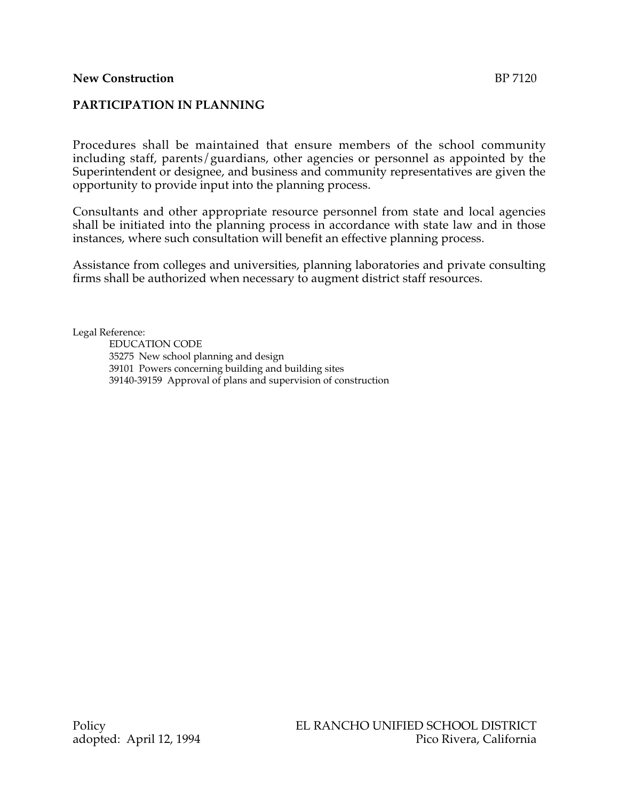## **New Construction** BP 7120

## **PARTICIPATION IN PLANNING**

Procedures shall be maintained that ensure members of the school community including staff, parents/guardians, other agencies or personnel as appointed by the Superintendent or designee, and business and community representatives are given the opportunity to provide input into the planning process.

Consultants and other appropriate resource personnel from state and local agencies shall be initiated into the planning process in accordance with state law and in those instances, where such consultation will benefit an effective planning process.

Assistance from colleges and universities, planning laboratories and private consulting firms shall be authorized when necessary to augment district staff resources.

Legal Reference:

EDUCATION CODE 35275 New school planning and design 39101 Powers concerning building and building sites 39140-39159 Approval of plans and supervision of construction